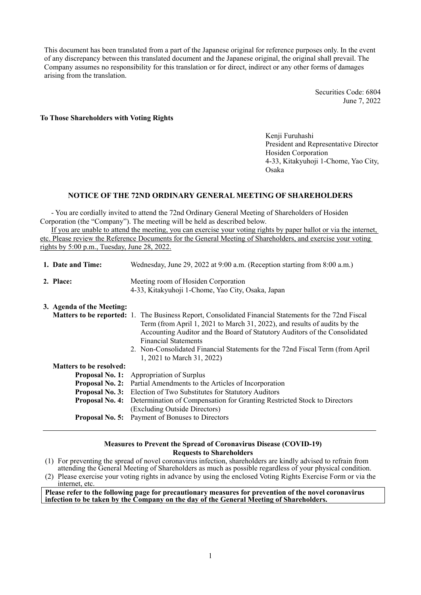This document has been translated from a part of the Japanese original for reference purposes only. In the event of any discrepancy between this translated document and the Japanese original, the original shall prevail. The Company assumes no responsibility for this translation or for direct, indirect or any other forms of damages arising from the translation.

> Securities Code: 6804 June 7, 2022

#### **To Those Shareholders with Voting Rights**

Kenji Furuhashi President and Representative Director Hosiden Corporation 4-33, Kitakyuhoji 1-Chome, Yao City, Osaka

# **NOTICE OF THE 72ND ORDINARY GENERAL MEETING OF SHAREHOLDERS**

- You are cordially invited to attend the 72nd Ordinary General Meeting of Shareholders of Hosiden Corporation (the "Company"). The meeting will be held as described below.

If you are unable to attend the meeting, you can exercise your voting rights by paper ballot or via the internet, etc. Please review the Reference Documents for the General Meeting of Shareholders, and exercise your voting rights by 5:00 p.m., Tuesday, June 28, 2022.

| 1. Date and Time:                                              | Wednesday, June 29, 2022 at 9:00 a.m. (Reception starting from 8:00 a.m.)                                                                                                                                                                                                                                                                                                            |  |  |  |
|----------------------------------------------------------------|--------------------------------------------------------------------------------------------------------------------------------------------------------------------------------------------------------------------------------------------------------------------------------------------------------------------------------------------------------------------------------------|--|--|--|
| 2. Place:                                                      | Meeting room of Hosiden Corporation<br>4-33, Kitakyuhoji 1-Chome, Yao City, Osaka, Japan                                                                                                                                                                                                                                                                                             |  |  |  |
| 3. Agenda of the Meeting:<br><b>Matters to be reported: 1.</b> | The Business Report, Consolidated Financial Statements for the 72nd Fiscal<br>Term (from April 1, 2021 to March 31, 2022), and results of audits by the<br>Accounting Auditor and the Board of Statutory Auditors of the Consolidated<br><b>Financial Statements</b><br>2. Non-Consolidated Financial Statements for the 72nd Fiscal Term (from April)<br>1, 2021 to March 31, 2022) |  |  |  |
| <b>Matters to be resolved:</b>                                 |                                                                                                                                                                                                                                                                                                                                                                                      |  |  |  |
| <b>Proposal No. 1:</b>                                         | Appropriation of Surplus                                                                                                                                                                                                                                                                                                                                                             |  |  |  |
| <b>Proposal No. 2:</b>                                         | Partial Amendments to the Articles of Incorporation                                                                                                                                                                                                                                                                                                                                  |  |  |  |
| <b>Proposal No. 3:</b>                                         | Election of Two Substitutes for Statutory Auditors                                                                                                                                                                                                                                                                                                                                   |  |  |  |
| <b>Proposal No. 4:</b>                                         | Determination of Compensation for Granting Restricted Stock to Directors<br>(Excluding Outside Directors)                                                                                                                                                                                                                                                                            |  |  |  |
| <b>Proposal No. 5:</b>                                         | Payment of Bonuses to Directors                                                                                                                                                                                                                                                                                                                                                      |  |  |  |

## **Measures to Prevent the Spread of Coronavirus Disease (COVID-19) Requests to Shareholders**

- (1) For preventing the spread of novel coronavirus infection, shareholders are kindly advised to refrain from attending the General Meeting of Shareholders as much as possible regardless of your physical condition.
- (2) Please exercise your voting rights in advance by using the enclosed Voting Rights Exercise Form or via the internet, etc.

**Please refer to the following page for precautionary measures for prevention of the novel coronavirus infection to be taken by the Company on the day of the General Meeting of Shareholders.**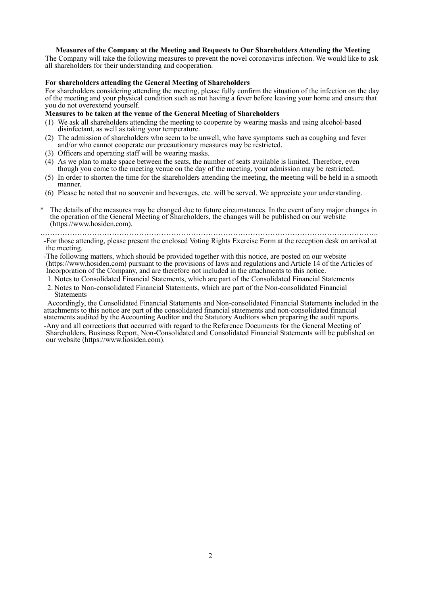# **Measures of the Company at the Meeting and Requests to Our Shareholders Attending the Meeting**

The Company will take the following measures to prevent the novel coronavirus infection. We would like to ask all shareholders for their understanding and cooperation.

#### **For shareholders attending the General Meeting of Shareholders**

For shareholders considering attending the meeting, please fully confirm the situation of the infection on the day of the meeting and your physical condition such as not having a fever before leaving your home and ensure that you do not overextend yourself.

## **Measures to be taken at the venue of the General Meeting of Shareholders**

- (1) We ask all shareholders attending the meeting to cooperate by wearing masks and using alcohol-based disinfectant, as well as taking your temperature.
- (2) The admission of shareholders who seem to be unwell, who have symptoms such as coughing and fever and/or who cannot cooperate our precautionary measures may be restricted.
- (3) Officers and operating staff will be wearing masks.
- (4) As we plan to make space between the seats, the number of seats available is limited. Therefore, even though you come to the meeting venue on the day of the meeting, your admission may be restricted.
- (5) In order to shorten the time for the shareholders attending the meeting, the meeting will be held in a smooth manner.
- (6) Please be noted that no souvenir and beverages, etc. will be served. We appreciate your understanding.
- The details of the measures may be changed due to future circumstances. In the event of any major changes in the operation of the General Meeting of Shareholders, the changes will be published on our website (https://www.hosiden.com).

………………………………………………………………………………………………………………………..

-For those attending, please present the enclosed Voting Rights Exercise Form at the reception desk on arrival at the meeting.

-The following matters, which should be provided together with this notice, are posted on our website (https://www.hosiden.com) pursuant to the provisions of laws and regulations and Article 14 of the Articles of Incorporation of the Company, and are therefore not included in the attachments to this notice.

- 1. Notes to Consolidated Financial Statements, which are part of the Consolidated Financial Statements
- 2. Notes to Non-consolidated Financial Statements, which are part of the Non-consolidated Financial Statements

Accordingly, the Consolidated Financial Statements and Non-consolidated Financial Statements included in the attachments to this notice are part of the consolidated financial statements and non-consolidated financial statements audited by the Accounting Auditor and the Statutory Auditors when preparing the audit reports.

-Any and all corrections that occurred with regard to the Reference Documents for the General Meeting of Shareholders, Business Report, Non-Consolidated and Consolidated Financial Statements will be published on our website (https://www.hosiden.com).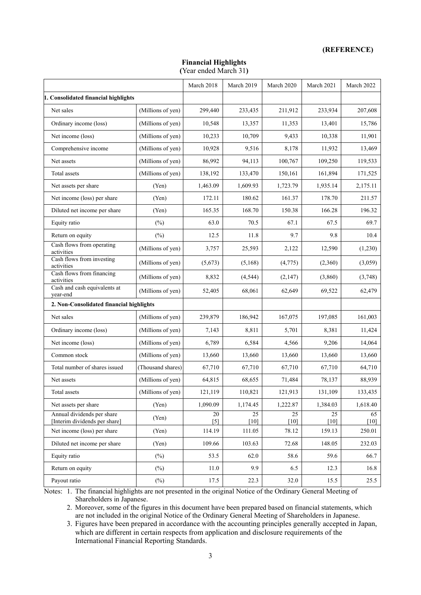#### **(REFERENCE)**

# **Financial Highlights (**Year ended March 31**)**

|                                                             |                   | March 2018  | March 2019   | March 2020   | March 2021   | March 2022   |
|-------------------------------------------------------------|-------------------|-------------|--------------|--------------|--------------|--------------|
| 1. Consolidated financial highlights                        |                   |             |              |              |              |              |
| Net sales                                                   | (Millions of yen) | 299,440     | 233,435      | 211,912      | 233,934      | 207,608      |
| Ordinary income (loss)                                      | (Millions of yen) | 10,548      | 13,357       | 11,353       | 13,401       | 15,786       |
| Net income (loss)                                           | (Millions of yen) | 10,233      | 10,709       | 9,433        | 10,338       | 11,901       |
| Comprehensive income                                        | (Millions of yen) | 10,928      | 9,516        | 8,178        | 11,932       | 13,469       |
| Net assets                                                  | (Millions of yen) | 86,992      | 94,113       | 100,767      | 109,250      | 119,533      |
| Total assets                                                | (Millions of yen) | 138,192     | 133,470      | 150,161      | 161,894      | 171,525      |
| Net assets per share                                        | (Yen)             | 1,463.09    | 1,609.93     | 1,723.79     | 1,935.14     | 2,175.11     |
| Net income (loss) per share                                 | (Yen)             | 172.11      | 180.62       | 161.37       | 178.70       | 211.57       |
| Diluted net income per share                                | (Yen)             | 165.35      | 168.70       | 150.38       | 166.28       | 196.32       |
| Equity ratio                                                | (%)               | 63.0        | 70.5         | 67.1         | 67.5         | 69.7         |
| Return on equity                                            | $(\%)$            | 12.5        | 11.8         | 9.7          | 9.8          | 10.4         |
| Cash flows from operating<br>activities                     | (Millions of yen) | 3,757       | 25,593       | 2,122        | 12,590       | (1,230)      |
| Cash flows from investing<br>activities                     | (Millions of yen) | (5,673)     | (5,168)      | (4,775)      | (2,360)      | (3,059)      |
| Cash flows from financing<br>activities                     | (Millions of yen) | 8,832       | (4, 544)     | (2,147)      | (3,860)      | (3,748)      |
| Cash and cash equivalents at<br>year-end                    | (Millions of yen) | 52,405      | 68,061       | 62,649       | 69,522       | 62,479       |
| 2. Non-Consolidated financial highlights                    |                   |             |              |              |              |              |
| Net sales                                                   | (Millions of yen) | 239,879     | 186,942      | 167,075      | 197,085      | 161,003      |
| Ordinary income (loss)                                      | (Millions of yen) | 7,143       | 8,811        | 5,701        | 8,381        | 11,424       |
| Net income (loss)                                           | (Millions of yen) | 6,789       | 6,584        | 4,566        | 9,206        | 14,064       |
| Common stock                                                | (Millions of yen) | 13,660      | 13,660       | 13,660       | 13,660       | 13,660       |
| Total number of shares issued                               | (Thousand shares) | 67,710      | 67,710       | 67,710       | 67,710       | 64,710       |
| Net assets                                                  | (Millions of yen) | 64,815      | 68,655       | 71,484       | 78,137       | 88,939       |
| Total assets                                                | (Millions of yen) | 121,119     | 110,821      | 121,913      | 131,109      | 133,435      |
| Net assets per share                                        | (Yen)             | 1,090.09    | 1,174.45     | 1,222.87     | 1,384.03     | 1,618.40     |
| Annual dividends per share<br>[Interim dividends per share] | (Yen)             | 20<br>$[5]$ | 25<br>$[10]$ | 25<br>$[10]$ | 25<br>$[10]$ | 65<br>$[10]$ |
| Net income (loss) per share                                 | (Yen)             | 114.19      | 111.05       | 78.12        | 159.13       | 250.01       |
| Diluted net income per share                                | (Yen)             | 109.66      | 103.63       | 72.68        | 148.05       | 232.03       |
| Equity ratio                                                | $(\%)$            | 53.5        | 62.0         | 58.6         | 59.6         | 66.7         |
| Return on equity                                            | $(\%)$            | 11.0        | 9.9          | 6.5          | 12.3         | 16.8         |
| Payout ratio                                                | $(\%)$            | 17.5        | 22.3         | 32.0         | 15.5         | 25.5         |

Notes: 1. The financial highlights are not presented in the original Notice of the Ordinary General Meeting of Shareholders in Japanese.

 2. Moreover, some of the figures in this document have been prepared based on financial statements, which are not included in the original Notice of the Ordinary General Meeting of Shareholders in Japanese.

 3. Figures have been prepared in accordance with the accounting principles generally accepted in Japan, which are different in certain respects from application and disclosure requirements of the International Financial Reporting Standards.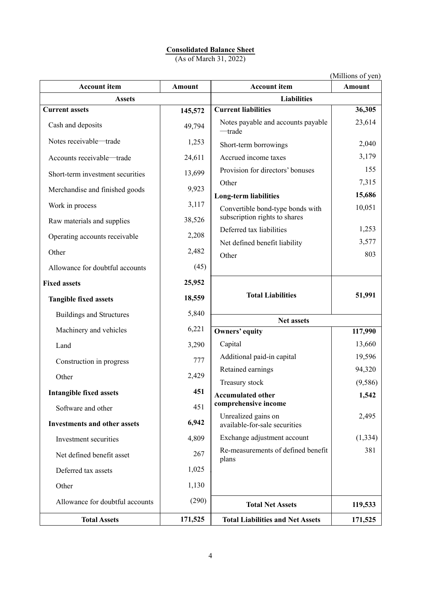# **Consolidated Balance Sheet**

(As of March 31, 2022)

|                                     |               |                                                  | (Millions of yen) |
|-------------------------------------|---------------|--------------------------------------------------|-------------------|
| <b>Account item</b>                 | <b>Amount</b> | <b>Account item</b>                              | <b>Amount</b>     |
| <b>Assets</b>                       |               | <b>Liabilities</b>                               |                   |
| <b>Current assets</b>               | 145,572       | <b>Current liabilities</b>                       | 36,305            |
| Cash and deposits                   | 49,794        | Notes payable and accounts payable<br>—trade     | 23,614            |
| Notes receivable-trade              | 1,253         | Short-term borrowings                            | 2,040             |
| Accounts receivable-trade           | 24,611        | Accrued income taxes                             | 3,179             |
| Short-term investment securities    | 13,699        | Provision for directors' bonuses                 | 155               |
| Merchandise and finished goods      | 9,923         | Other<br><b>Long-term liabilities</b>            | 7,315<br>15,686   |
| Work in process                     | 3,117         | Convertible bond-type bonds with                 | 10,051            |
| Raw materials and supplies          | 38,526        | subscription rights to shares                    |                   |
| Operating accounts receivable       | 2,208         | Deferred tax liabilities                         | 1,253             |
| Other                               | 2,482         | Net defined benefit liability<br>Other           | 3,577<br>803      |
| Allowance for doubtful accounts     | (45)          |                                                  |                   |
| <b>Fixed assets</b>                 | 25,952        |                                                  |                   |
| <b>Tangible fixed assets</b>        | 18,559        | <b>Total Liabilities</b>                         | 51,991            |
| <b>Buildings and Structures</b>     | 5,840         | Net assets                                       |                   |
| Machinery and vehicles              | 6,221         | Owners' equity                                   | 117,990           |
| Land                                | 3,290         | Capital                                          | 13,660            |
| Construction in progress            | 777           | Additional paid-in capital                       | 19,596            |
| Other                               | 2,429         | Retained earnings                                | 94,320            |
| <b>Intangible fixed assets</b>      | 451           | Treasury stock                                   | (9, 586)          |
|                                     |               | <b>Accumulated other</b><br>comprehensive income | 1,542             |
| Software and other                  | 451           | Unrealized gains on                              | 2,495             |
| <b>Investments and other assets</b> | 6,942         | available-for-sale securities                    |                   |
| Investment securities               | 4,809         | Exchange adjustment account                      | (1, 334)          |
| Net defined benefit asset           | 267           | Re-measurements of defined benefit<br>plans      | 381               |
| Deferred tax assets                 | 1,025         |                                                  |                   |
| Other                               | 1,130         |                                                  |                   |
| Allowance for doubtful accounts     | (290)         | <b>Total Net Assets</b>                          | 119,533           |
| <b>Total Assets</b>                 | 171,525       | <b>Total Liabilities and Net Assets</b>          | 171,525           |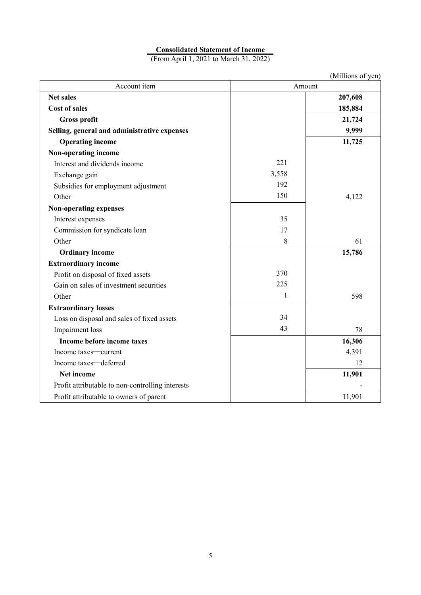# **Consolidated Statement of Income**

(From April 1, 2021 to March 31, 2022)

|                                                  |              | (Millions of yen) |
|--------------------------------------------------|--------------|-------------------|
| Account item                                     | Amount       |                   |
| <b>Net sales</b>                                 |              | 207,608           |
| <b>Cost of sales</b>                             |              | 185,884           |
| <b>Gross profit</b>                              |              | 21,724            |
| Selling, general and administrative expenses     |              | 9,999             |
| <b>Operating income</b>                          |              | 11,725            |
| Non-operating income                             |              |                   |
| Interest and dividends income                    | 221          |                   |
| Exchange gain                                    | 3,558        |                   |
| Subsidies for employment adjustment              | 192          |                   |
| Other                                            | 150          | 4,122             |
| <b>Non-operating expenses</b>                    |              |                   |
| Interest expenses                                | 35           |                   |
| Commission for syndicate loan                    | 17           |                   |
| Other                                            | 8            | 61                |
| <b>Ordinary income</b>                           |              | 15,786            |
| <b>Extraordinary income</b>                      |              |                   |
| Profit on disposal of fixed assets               | 370          |                   |
| Gain on sales of investment securities           | 225          |                   |
| Other                                            | $\mathbf{1}$ | 598               |
| <b>Extraordinary losses</b>                      |              |                   |
| Loss on disposal and sales of fixed assets       | 34           |                   |
| Impairment loss                                  | 43           | 78                |
| Income before income taxes                       |              | 16,306            |
| Income taxes—current                             |              | 4,391             |
| Income taxes-deferred                            |              | 12                |
| Net income                                       |              | 11,901            |
| Profit attributable to non-controlling interests |              |                   |
| Profit attributable to owners of parent          |              | 11,901            |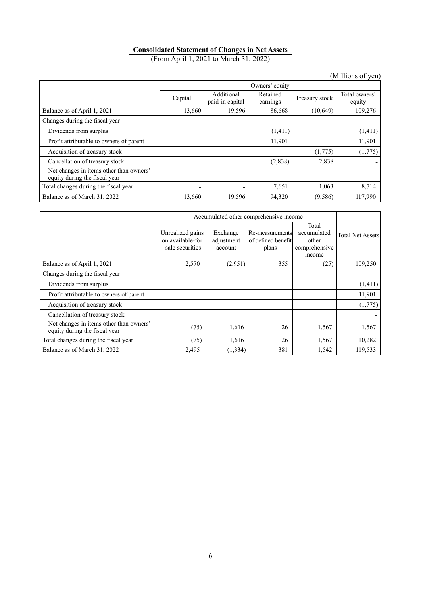# **Consolidated Statement of Changes in Net Assets**

(From April 1, 2021 to March 31, 2022)

|                                                                          |         |                               |                      |                | (Millions of yen)       |  |
|--------------------------------------------------------------------------|---------|-------------------------------|----------------------|----------------|-------------------------|--|
|                                                                          |         | Owners' equity                |                      |                |                         |  |
|                                                                          | Capital | Additional<br>paid-in capital | Retained<br>earnings | Treasury stock | Total owners'<br>equity |  |
| Balance as of April 1, 2021                                              | 13,660  | 19,596                        | 86,668               | (10,649)       | 109,276                 |  |
| Changes during the fiscal year                                           |         |                               |                      |                |                         |  |
| Dividends from surplus                                                   |         |                               | (1,411)              |                | (1,411)                 |  |
| Profit attributable to owners of parent                                  |         |                               | 11,901               |                | 11,901                  |  |
| Acquisition of treasury stock                                            |         |                               |                      | (1,775)        | (1,775)                 |  |
| Cancellation of treasury stock                                           |         |                               | (2,838)              | 2,838          |                         |  |
| Net changes in items other than owners'<br>equity during the fiscal year |         |                               |                      |                |                         |  |
| Total changes during the fiscal year                                     |         |                               | 7,651                | 1,063          | 8,714                   |  |
| Balance as of March 31, 2022                                             | 13,660  | 19,596                        | 94,320               | (9, 586)       | 117,990                 |  |

|                                                                          |                                                          | Accumulated other comprehensive income |                                                |                                                          |                         |  |
|--------------------------------------------------------------------------|----------------------------------------------------------|----------------------------------------|------------------------------------------------|----------------------------------------------------------|-------------------------|--|
|                                                                          | Unrealized gains<br>on available-for<br>-sale securities | Exchange<br>adjustment<br>account      | Re-measurements<br>of defined benefit<br>plans | Total<br>accumulated<br>other<br>comprehensive<br>income | <b>Total Net Assets</b> |  |
| Balance as of April 1, 2021                                              | 2,570                                                    | (2,951)                                | 355                                            | (25)                                                     | 109,250                 |  |
| Changes during the fiscal year                                           |                                                          |                                        |                                                |                                                          |                         |  |
| Dividends from surplus                                                   |                                                          |                                        |                                                |                                                          | (1,411)                 |  |
| Profit attributable to owners of parent                                  |                                                          |                                        |                                                |                                                          | 11,901                  |  |
| Acquisition of treasury stock                                            |                                                          |                                        |                                                |                                                          | (1,775)                 |  |
| Cancellation of treasury stock                                           |                                                          |                                        |                                                |                                                          |                         |  |
| Net changes in items other than owners'<br>equity during the fiscal year | (75)                                                     | 1,616                                  | 26                                             | 1,567                                                    | 1,567                   |  |
| Total changes during the fiscal year                                     | (75)                                                     | 1,616                                  | 26                                             | 1,567                                                    | 10,282                  |  |
| Balance as of March 31, 2022                                             | 2,495                                                    | (1, 334)                               | 381                                            | 1,542                                                    | 119,533                 |  |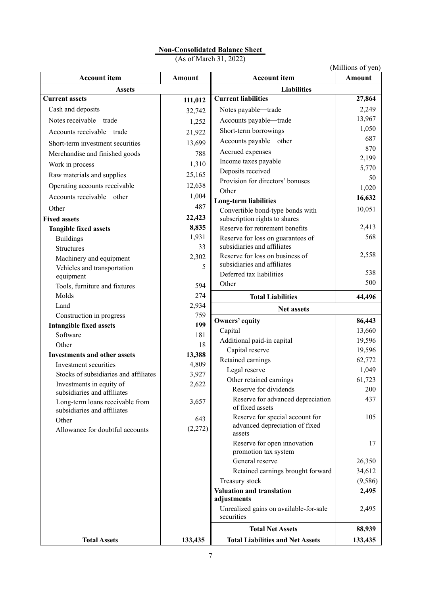# **Non-Consolidated Balance Sheet**

(As of March 31, 2022)

(Millions of yen)

| <b>Account item</b>                                            | Amount         | <b>Account item</b>                                                         | Amount      |
|----------------------------------------------------------------|----------------|-----------------------------------------------------------------------------|-------------|
| <b>Assets</b>                                                  |                | <b>Liabilities</b>                                                          |             |
| <b>Current assets</b>                                          | 111,012        | <b>Current liabilities</b>                                                  | 27,864      |
| Cash and deposits                                              | 32,742         | Notes payable-trade                                                         | 2,249       |
| Notes receivable-trade                                         | 1,252          | Accounts payable-trade                                                      | 13,967      |
| Accounts receivable-trade                                      | 21,922         | Short-term borrowings                                                       | 1,050       |
| Short-term investment securities                               | 13,699         | Accounts payable-other                                                      | 687         |
| Merchandise and finished goods                                 | 788            | Accrued expenses                                                            | 870         |
| Work in process                                                | 1,310          | Income taxes payable                                                        | 2,199       |
| Raw materials and supplies                                     | 25,165         | Deposits received                                                           | 5,770       |
| Operating accounts receivable                                  | 12,638         | Provision for directors' bonuses                                            | 50<br>1,020 |
| Accounts receivable-other                                      | 1,004          | Other                                                                       | 16,632      |
| Other                                                          | 487            | <b>Long-term liabilities</b>                                                |             |
| <b>Fixed assets</b>                                            | 22,423         | Convertible bond-type bonds with<br>subscription rights to shares           | 10,051      |
| <b>Tangible fixed assets</b>                                   | 8,835          | Reserve for retirement benefits                                             | 2,413       |
| <b>Buildings</b>                                               | 1,931          | Reserve for loss on guarantees of                                           | 568         |
| <b>Structures</b>                                              | 33             | subsidiaries and affiliates                                                 |             |
| Machinery and equipment                                        | 2,302          | Reserve for loss on business of                                             | 2,558       |
| Vehicles and transportation                                    | 5              | subsidiaries and affiliates                                                 |             |
| equipment                                                      |                | Deferred tax liabilities                                                    | 538         |
| Tools, furniture and fixtures                                  | 594            | Other                                                                       | 500         |
| Molds                                                          | 274            | <b>Total Liabilities</b>                                                    | 44,496      |
| Land                                                           | 2,934          | <b>Net assets</b>                                                           |             |
| Construction in progress                                       | 759            | Owners' equity                                                              | 86,443      |
| <b>Intangible fixed assets</b>                                 | 199            | Capital                                                                     | 13,660      |
| Software                                                       | 181            | Additional paid-in capital                                                  | 19,596      |
| Other                                                          | 18             | Capital reserve                                                             | 19,596      |
| <b>Investments and other assets</b><br>Investment securities   | 13,388         | Retained earnings                                                           | 62,772      |
| Stocks of subsidiaries and affiliates                          | 4,809<br>3,927 | Legal reserve                                                               | 1,049       |
| Investments in equity of                                       | 2,622          | Other retained earnings                                                     | 61,723      |
| subsidiaries and affiliates                                    |                | Reserve for dividends                                                       | 200         |
| Long-term loans receivable from<br>subsidiaries and affiliates | 3,657          | Reserve for advanced depreciation<br>of fixed assets                        | 437         |
| Other<br>Allowance for doubtful accounts                       | 643<br>(2,272) | Reserve for special account for<br>advanced depreciation of fixed<br>assets | 105         |
|                                                                |                | Reserve for open innovation<br>promotion tax system                         | 17          |
|                                                                |                | General reserve                                                             | 26,350      |
|                                                                |                | Retained earnings brought forward                                           | 34,612      |
|                                                                |                | Treasury stock                                                              | (9, 586)    |
|                                                                |                | Valuation and translation<br>adjustments                                    | 2,495       |
|                                                                |                | Unrealized gains on available-for-sale<br>securities                        | 2,495       |
|                                                                |                | <b>Total Net Assets</b>                                                     | 88,939      |
| <b>Total Assets</b>                                            | 133,435        | <b>Total Liabilities and Net Assets</b>                                     | 133,435     |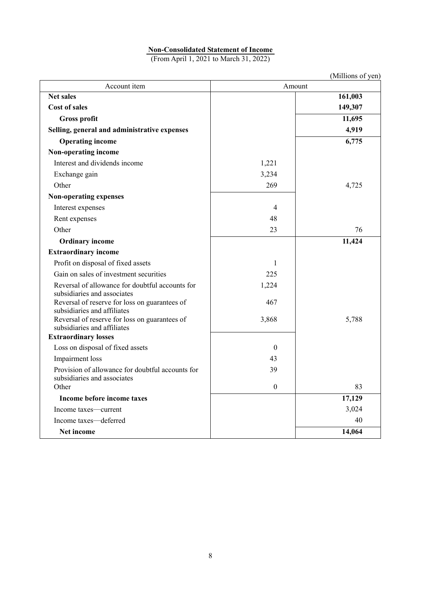# **Non-Consolidated Statement of Income**

(From April 1, 2021 to March 31, 2022)

|                                                                              |                  | (Millions of yen) |
|------------------------------------------------------------------------------|------------------|-------------------|
| Account item                                                                 | Amount           |                   |
| <b>Net sales</b>                                                             |                  | 161,003           |
| <b>Cost of sales</b>                                                         |                  | 149,307           |
| <b>Gross profit</b>                                                          |                  | 11,695            |
| Selling, general and administrative expenses                                 |                  | 4,919             |
| <b>Operating income</b>                                                      |                  | 6,775             |
| Non-operating income                                                         |                  |                   |
| Interest and dividends income                                                | 1,221            |                   |
| Exchange gain                                                                | 3,234            |                   |
| Other                                                                        | 269              | 4,725             |
| <b>Non-operating expenses</b>                                                |                  |                   |
| Interest expenses                                                            | 4                |                   |
| Rent expenses                                                                | 48               |                   |
| Other                                                                        | 23               | 76                |
| <b>Ordinary income</b>                                                       |                  | 11,424            |
| <b>Extraordinary income</b>                                                  |                  |                   |
| Profit on disposal of fixed assets                                           | 1                |                   |
| Gain on sales of investment securities                                       | 225              |                   |
| Reversal of allowance for doubtful accounts for                              | 1,224            |                   |
| subsidiaries and associates                                                  |                  |                   |
| Reversal of reserve for loss on guarantees of                                | 467              |                   |
| subsidiaries and affiliates<br>Reversal of reserve for loss on guarantees of | 3,868            | 5,788             |
| subsidiaries and affiliates                                                  |                  |                   |
| <b>Extraordinary losses</b>                                                  |                  |                   |
| Loss on disposal of fixed assets                                             | $\boldsymbol{0}$ |                   |
| Impairment loss                                                              | 43               |                   |
| Provision of allowance for doubtful accounts for                             | 39               |                   |
| subsidiaries and associates                                                  |                  |                   |
| Other                                                                        | $\mathbf{0}$     | 83                |
| Income before income taxes                                                   |                  | 17,129            |
| Income taxes-current                                                         |                  | 3,024             |
| Income taxes-deferred                                                        |                  | 40                |
| Net income                                                                   |                  | 14,064            |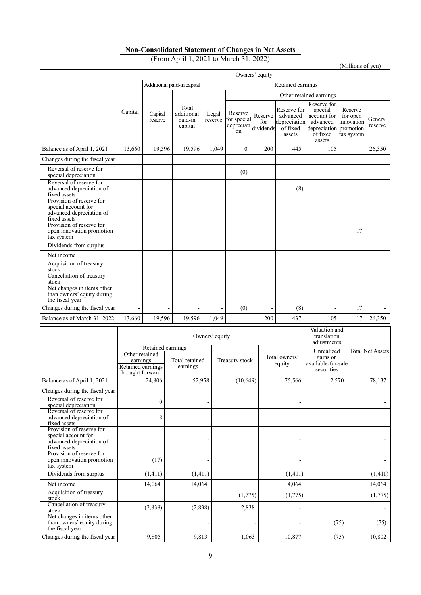# **Non-Consolidated Statement of Changes in Net Assets**

(From April 1, 2021 to March 31, 2022)

(Millions of yen)

|                                                                                             |                                                                            | Owners' equity          |                                                       |                             |                                                               |                                                                                                   |                                                 |                    |                          |        |
|---------------------------------------------------------------------------------------------|----------------------------------------------------------------------------|-------------------------|-------------------------------------------------------|-----------------------------|---------------------------------------------------------------|---------------------------------------------------------------------------------------------------|-------------------------------------------------|--------------------|--------------------------|--------|
|                                                                                             |                                                                            |                         | Additional paid-in capital                            |                             |                                                               |                                                                                                   | Retained earnings                               |                    |                          |        |
|                                                                                             |                                                                            | Other retained earnings |                                                       |                             |                                                               |                                                                                                   |                                                 |                    |                          |        |
|                                                                                             | Total<br>Capital<br>additional<br>Capital<br>paid-in<br>reserve<br>capital | Legal<br>reserve        | Reserve<br>for special<br>depreciati<br><sub>on</sub> | Reserve<br>for<br>dividends | Reserve for<br>advanced<br>depreciation<br>of fixed<br>assets | Reserve for<br>special<br>account for<br>advanced<br>depreciation promotion<br>of fixed<br>assets | Reserve<br>for open<br>innovation<br>tax system | General<br>reserve |                          |        |
| Balance as of April 1, 2021                                                                 | 13,660                                                                     | 19,596                  | 19,596                                                | 1.049                       | $\Omega$                                                      | 200                                                                                               | 445                                             | 105                | $\overline{\phantom{a}}$ | 26,350 |
| Changes during the fiscal year                                                              |                                                                            |                         |                                                       |                             |                                                               |                                                                                                   |                                                 |                    |                          |        |
| Reversal of reserve for<br>special depreciation                                             |                                                                            |                         |                                                       |                             | (0)                                                           |                                                                                                   |                                                 |                    |                          |        |
| Reversal of reserve for<br>advanced depreciation of<br>fixed assets                         |                                                                            |                         |                                                       |                             |                                                               |                                                                                                   | (8)                                             |                    |                          |        |
| Provision of reserve for<br>special account for<br>advanced depreciation of<br>fixed assets |                                                                            |                         |                                                       |                             |                                                               |                                                                                                   |                                                 |                    |                          |        |
| Provision of reserve for<br>open innovation promotion<br>tax system                         |                                                                            |                         |                                                       |                             |                                                               |                                                                                                   |                                                 |                    | 17                       |        |
| Dividends from surplus                                                                      |                                                                            |                         |                                                       |                             |                                                               |                                                                                                   |                                                 |                    |                          |        |
| Net income                                                                                  |                                                                            |                         |                                                       |                             |                                                               |                                                                                                   |                                                 |                    |                          |        |
| Acquisition of treasury<br>stock                                                            |                                                                            |                         |                                                       |                             |                                                               |                                                                                                   |                                                 |                    |                          |        |
| Cancellation of treasury<br>stock                                                           |                                                                            |                         |                                                       |                             |                                                               |                                                                                                   |                                                 |                    |                          |        |
| Net changes in items other<br>than owners' equity during<br>the fiscal year                 |                                                                            |                         |                                                       |                             |                                                               |                                                                                                   |                                                 |                    |                          |        |
| Changes during the fiscal year                                                              |                                                                            |                         |                                                       |                             | (0)                                                           |                                                                                                   | (8)                                             |                    | 17                       |        |
| Balance as of March 31, 2022                                                                | 13,660                                                                     | 19,596                  | 19,596                                                | 1,049                       | ٠                                                             | 200                                                                                               | 437                                             | 105                | 17                       | 26,350 |

|                                                                                             |                                                                                         | Owners' equity             | Valuation and<br>translation<br>adjustments |                         |                                                            |                         |
|---------------------------------------------------------------------------------------------|-----------------------------------------------------------------------------------------|----------------------------|---------------------------------------------|-------------------------|------------------------------------------------------------|-------------------------|
|                                                                                             | Retained earnings<br>Other retained<br>earnings<br>Retained earnings<br>brought forward | Total retained<br>earnings | Treasury stock                              | Total owners'<br>equity | Unrealized<br>gains on<br>available-for-sale<br>securities | <b>Total Net Assets</b> |
| Balance as of April 1, 2021                                                                 | 24,806                                                                                  | 52,958                     | (10, 649)                                   | 75,566                  | 2,570                                                      | 78,137                  |
| Changes during the fiscal year                                                              |                                                                                         |                            |                                             |                         |                                                            |                         |
| Reversal of reserve for<br>special depreciation                                             | $\theta$                                                                                |                            |                                             |                         |                                                            |                         |
| Reversal of reserve for<br>advanced depreciation of<br>fixed assets                         | 8                                                                                       |                            |                                             | ÷                       |                                                            |                         |
| Provision of reserve for<br>special account for<br>advanced depreciation of<br>fixed assets |                                                                                         |                            |                                             |                         |                                                            |                         |
| Provision of reserve for<br>open innovation promotion<br>tax system                         | (17)                                                                                    |                            |                                             |                         |                                                            |                         |
| Dividends from surplus                                                                      | (1,411)                                                                                 | (1, 411)                   |                                             | (1, 411)                |                                                            | (1, 411)                |
| Net income                                                                                  | 14.064                                                                                  | 14.064                     |                                             | 14,064                  |                                                            | 14,064                  |
| Acquisition of treasury<br>stock                                                            |                                                                                         |                            | (1,775)                                     | (1,775)                 |                                                            | (1,775)                 |
| Cancellation of treasury<br>stock                                                           | (2,838)                                                                                 | (2,838)                    | 2,838                                       |                         |                                                            |                         |
| Net changes in items other<br>than owners' equity during<br>the fiscal vear                 |                                                                                         |                            |                                             |                         | (75)                                                       | (75)                    |
| Changes during the fiscal year                                                              | 9,805                                                                                   | 9,813                      | 1,063                                       | 10,877                  | (75)                                                       | 10,802                  |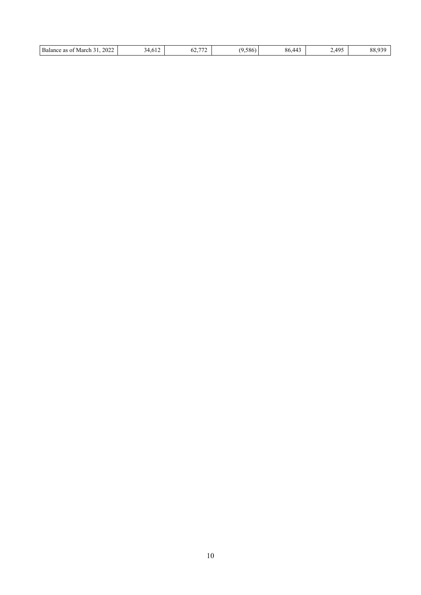| Balance<br>$\overline{a}$<br>$ -$<br>2022<br>586<br>$44^{\circ}$<br>$\mathcal{L}$<br>March<br>: as ot<br>u<br>$\sim$<br>1.V L 4<br>JZ. | $\Delta Q^r$<br>ດເ<br>. ററ.<br><u>.</u><br>. <i>.</i> .<br>__ |
|----------------------------------------------------------------------------------------------------------------------------------------|---------------------------------------------------------------|
|----------------------------------------------------------------------------------------------------------------------------------------|---------------------------------------------------------------|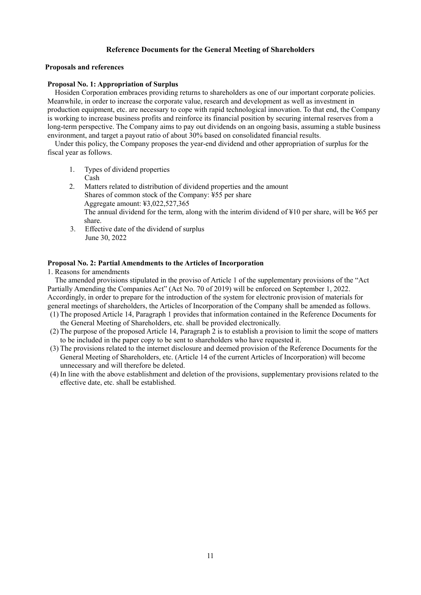# **Reference Documents for the General Meeting of Shareholders**

## **Proposals and references**

# **Proposal No. 1: Appropriation of Surplus**

Hosiden Corporation embraces providing returns to shareholders as one of our important corporate policies. Meanwhile, in order to increase the corporate value, research and development as well as investment in production equipment, etc. are necessary to cope with rapid technological innovation. To that end, the Company is working to increase business profits and reinforce its financial position by securing internal reserves from a long-term perspective. The Company aims to pay out dividends on an ongoing basis, assuming a stable business environment, and target a payout ratio of about 30% based on consolidated financial results.

Under this policy, the Company proposes the year-end dividend and other appropriation of surplus for the fiscal year as follows.

- 1. Types of dividend properties Cash
- 2. Matters related to distribution of dividend properties and the amount Shares of common stock of the Company: ¥55 per share Aggregate amount: ¥3,022,527,365 The annual dividend for the term, along with the interim dividend of ¥10 per share, will be ¥65 per share.
- 3. Effective date of the dividend of surplus June 30, 2022

# **Proposal No. 2: Partial Amendments to the Articles of Incorporation**

1. Reasons for amendments

The amended provisions stipulated in the proviso of Article 1 of the supplementary provisions of the "Act Partially Amending the Companies Act" (Act No. 70 of 2019) will be enforced on September 1, 2022. Accordingly, in order to prepare for the introduction of the system for electronic provision of materials for general meetings of shareholders, the Articles of Incorporation of the Company shall be amended as follows.

- (1) The proposed Article 14, Paragraph 1 provides that information contained in the Reference Documents for the General Meeting of Shareholders, etc. shall be provided electronically.
- (2) The purpose of the proposed Article 14, Paragraph 2 is to establish a provision to limit the scope of matters to be included in the paper copy to be sent to shareholders who have requested it.
- (3) The provisions related to the internet disclosure and deemed provision of the Reference Documents for the General Meeting of Shareholders, etc. (Article 14 of the current Articles of Incorporation) will become unnecessary and will therefore be deleted.
- (4) In line with the above establishment and deletion of the provisions, supplementary provisions related to the effective date, etc. shall be established.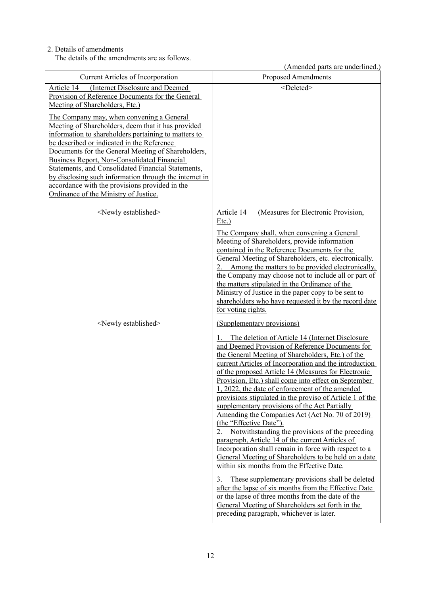# 2. Details of amendments

The details of the amendments are as follows.

(Amended parts are underlined.)

| <b>Current Articles of Incorporation</b>                                                                                                                                                                                                                                                                                                                                                                                                                                                                              | <b>Proposed Amendments</b>                                                                                                                                                                                                                                                                                                                                                                                                                                                                                                                                                                                                                                                                                                                                                                                                                                                                                                                                                                                                                                                                                            |
|-----------------------------------------------------------------------------------------------------------------------------------------------------------------------------------------------------------------------------------------------------------------------------------------------------------------------------------------------------------------------------------------------------------------------------------------------------------------------------------------------------------------------|-----------------------------------------------------------------------------------------------------------------------------------------------------------------------------------------------------------------------------------------------------------------------------------------------------------------------------------------------------------------------------------------------------------------------------------------------------------------------------------------------------------------------------------------------------------------------------------------------------------------------------------------------------------------------------------------------------------------------------------------------------------------------------------------------------------------------------------------------------------------------------------------------------------------------------------------------------------------------------------------------------------------------------------------------------------------------------------------------------------------------|
| (Internet Disclosure and Deemed<br>Article 14<br>Provision of Reference Documents for the General                                                                                                                                                                                                                                                                                                                                                                                                                     | <deleted></deleted>                                                                                                                                                                                                                                                                                                                                                                                                                                                                                                                                                                                                                                                                                                                                                                                                                                                                                                                                                                                                                                                                                                   |
| Meeting of Shareholders, Etc.)                                                                                                                                                                                                                                                                                                                                                                                                                                                                                        |                                                                                                                                                                                                                                                                                                                                                                                                                                                                                                                                                                                                                                                                                                                                                                                                                                                                                                                                                                                                                                                                                                                       |
| The Company may, when convening a General<br>Meeting of Shareholders, deem that it has provided<br>information to shareholders pertaining to matters to<br>be described or indicated in the Reference<br>Documents for the General Meeting of Shareholders,<br>Business Report, Non-Consolidated Financial<br>Statements, and Consolidated Financial Statements,<br>by disclosing such information through the internet in<br>accordance with the provisions provided in the<br>Ordinance of the Ministry of Justice. |                                                                                                                                                                                                                                                                                                                                                                                                                                                                                                                                                                                                                                                                                                                                                                                                                                                                                                                                                                                                                                                                                                                       |
| <newly established=""></newly>                                                                                                                                                                                                                                                                                                                                                                                                                                                                                        | Article 14<br>(Measures for Electronic Provision,<br>$Etc.$ )                                                                                                                                                                                                                                                                                                                                                                                                                                                                                                                                                                                                                                                                                                                                                                                                                                                                                                                                                                                                                                                         |
|                                                                                                                                                                                                                                                                                                                                                                                                                                                                                                                       | The Company shall, when convening a General<br>Meeting of Shareholders, provide information<br>contained in the Reference Documents for the<br>General Meeting of Shareholders, etc. electronically.<br>Among the matters to be provided electronically,<br>the Company may choose not to include all or part of<br>the matters stipulated in the Ordinance of the<br>Ministry of Justice in the paper copy to be sent to<br>shareholders who have requested it by the record date<br>for voting rights.                                                                                                                                                                                                                                                                                                                                                                                                                                                                                                                                                                                                              |
| <newly established=""></newly>                                                                                                                                                                                                                                                                                                                                                                                                                                                                                        | (Supplementary provisions)                                                                                                                                                                                                                                                                                                                                                                                                                                                                                                                                                                                                                                                                                                                                                                                                                                                                                                                                                                                                                                                                                            |
|                                                                                                                                                                                                                                                                                                                                                                                                                                                                                                                       | The deletion of Article 14 (Internet Disclosure<br>and Deemed Provision of Reference Documents for<br>the General Meeting of Shareholders, Etc.) of the<br>current Articles of Incorporation and the introduction<br>of the proposed Article 14 (Measures for Electronic<br>Provision, Etc.) shall come into effect on September<br>1, 2022, the date of enforcement of the amended<br>provisions stipulated in the proviso of Article 1 of the<br>supplementary provisions of the Act Partially<br>Amending the Companies Act (Act No. 70 of 2019)<br>(the "Effective Date").<br>Notwithstanding the provisions of the preceding<br>paragraph, Article 14 of the current Articles of<br>Incorporation shall remain in force with respect to a<br>General Meeting of Shareholders to be held on a date<br>within six months from the Effective Date.<br>These supplementary provisions shall be deleted<br>after the lapse of six months from the Effective Date<br>or the lapse of three months from the date of the<br>General Meeting of Shareholders set forth in the<br>preceding paragraph, whichever is later. |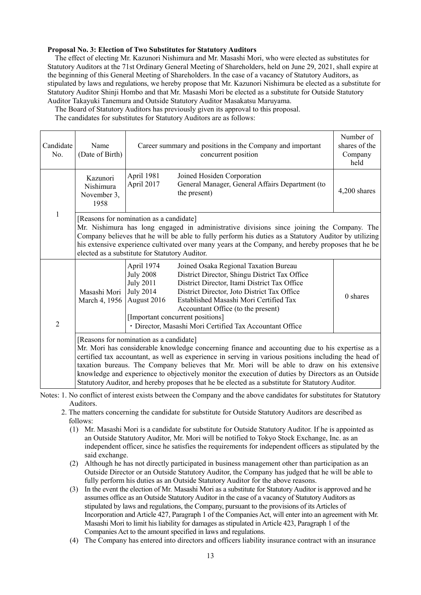## **Proposal No. 3: Election of Two Substitutes for Statutory Auditors**

The effect of electing Mr. Kazunori Nishimura and Mr. Masashi Mori, who were elected as substitutes for Statutory Auditors at the 71st Ordinary General Meeting of Shareholders, held on June 29, 2021, shall expire at the beginning of this General Meeting of Shareholders. In the case of a vacancy of Statutory Auditors, as stipulated by laws and regulations, we hereby propose that Mr. Kazunori Nishimura be elected as a substitute for Statutory Auditor Shinji Hombo and that Mr. Masashi Mori be elected as a substitute for Outside Statutory Auditor Takayuki Tanemura and Outside Statutory Auditor Masakatsu Maruyama.

The Board of Statutory Auditors has previously given its approval to this proposal.

The candidates for substitutes for Statutory Auditors are as follows:

| Candidate<br>No. | Name<br>(Date of Birth)                                                                                                                                                                                                                                                                                                                                                                                                                                                                                                                                     | Career summary and positions in the Company and important<br>concurrent position                                                                                                                                                                                                                                                                                                                                                                               | Number of<br>shares of the<br>Company<br>held |
|------------------|-------------------------------------------------------------------------------------------------------------------------------------------------------------------------------------------------------------------------------------------------------------------------------------------------------------------------------------------------------------------------------------------------------------------------------------------------------------------------------------------------------------------------------------------------------------|----------------------------------------------------------------------------------------------------------------------------------------------------------------------------------------------------------------------------------------------------------------------------------------------------------------------------------------------------------------------------------------------------------------------------------------------------------------|-----------------------------------------------|
| 1                | Kazunori<br>Nishimura<br>November 3,<br>1958                                                                                                                                                                                                                                                                                                                                                                                                                                                                                                                | April 1981<br>Joined Hosiden Corporation<br>April 2017<br>General Manager, General Affairs Department (to<br>the present)                                                                                                                                                                                                                                                                                                                                      | 4,200 shares                                  |
|                  | [Reasons for nomination as a candidate]<br>Mr. Nishimura has long engaged in administrative divisions since joining the Company. The<br>Company believes that he will be able to fully perform his duties as a Statutory Auditor by utilizing<br>his extensive experience cultivated over many years at the Company, and hereby proposes that he be<br>elected as a substitute for Statutory Auditor.                                                                                                                                                       |                                                                                                                                                                                                                                                                                                                                                                                                                                                                |                                               |
| $\overline{2}$   | Masashi Mori<br>March 4, 1956                                                                                                                                                                                                                                                                                                                                                                                                                                                                                                                               | April 1974<br>Joined Osaka Regional Taxation Bureau<br><b>July 2008</b><br>District Director, Shingu District Tax Office<br><b>July 2011</b><br>District Director, Itami District Tax Office<br><b>July 2014</b><br>District Director, Joto District Tax Office<br>Established Masashi Mori Certified Tax<br>August 2016<br>Accountant Office (to the present)<br>[Important concurrent positions]<br>· Director, Masashi Mori Certified Tax Accountant Office | 0 shares                                      |
|                  | [Reasons for nomination as a candidate]<br>Mr. Mori has considerable knowledge concerning finance and accounting due to his expertise as a<br>certified tax accountant, as well as experience in serving in various positions including the head of<br>taxation bureaus. The Company believes that Mr. Mori will be able to draw on his extensive<br>knowledge and experience to objectively monitor the execution of duties by Directors as an Outside<br>Statutory Auditor, and hereby proposes that he be elected as a substitute for Statutory Auditor. |                                                                                                                                                                                                                                                                                                                                                                                                                                                                |                                               |

Notes: 1. No conflict of interest exists between the Company and the above candidates for substitutes for Statutory Auditors.

- 2. The matters concerning the candidate for substitute for Outside Statutory Auditors are described as follows:
	- (1) Mr. Masashi Mori is a candidate for substitute for Outside Statutory Auditor. If he is appointed as an Outside Statutory Auditor, Mr. Mori will be notified to Tokyo Stock Exchange, Inc. as an independent officer, since he satisfies the requirements for independent officers as stipulated by the said exchange.
	- (2) Although he has not directly participated in business management other than participation as an Outside Director or an Outside Statutory Auditor, the Company has judged that he will be able to fully perform his duties as an Outside Statutory Auditor for the above reasons.
	- (3) In the event the election of Mr. Masashi Mori as a substitute for Statutory Auditor is approved and he assumes office as an Outside Statutory Auditor in the case of a vacancy of Statutory Auditors as stipulated by laws and regulations, the Company, pursuant to the provisions of its Articles of Incorporation and Article 427, Paragraph 1 of the Companies Act, will enter into an agreement with Mr. Masashi Mori to limit his liability for damages as stipulated in Article 423, Paragraph 1 of the Companies Act to the amount specified in laws and regulations.
	- (4) The Company has entered into directors and officers liability insurance contract with an insurance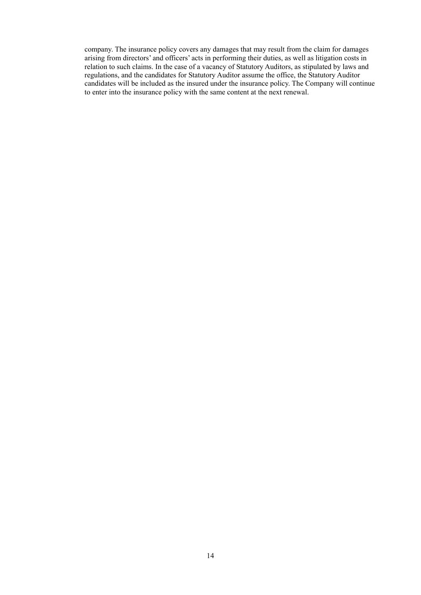company. The insurance policy covers any damages that may result from the claim for damages arising from directors' and officers' acts in performing their duties, as well as litigation costs in relation to such claims. In the case of a vacancy of Statutory Auditors, as stipulated by laws and regulations, and the candidates for Statutory Auditor assume the office, the Statutory Auditor candidates will be included as the insured under the insurance policy. The Company will continue to enter into the insurance policy with the same content at the next renewal.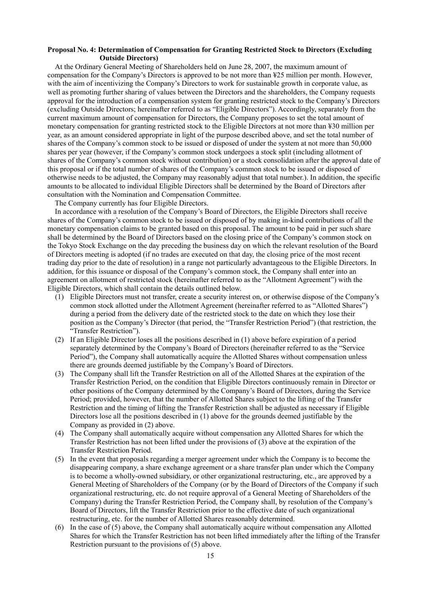#### **Proposal No. 4: Determination of Compensation for Granting Restricted Stock to Directors (Excluding Outside Directors)**

At the Ordinary General Meeting of Shareholders held on June 28, 2007, the maximum amount of compensation for the Company's Directors is approved to be not more than ¥25 million per month. However, with the aim of incentivizing the Company's Directors to work for sustainable growth in corporate value, as well as promoting further sharing of values between the Directors and the shareholders, the Company requests approval for the introduction of a compensation system for granting restricted stock to the Company's Directors (excluding Outside Directors; hereinafter referred to as "Eligible Directors"). Accordingly, separately from the current maximum amount of compensation for Directors, the Company proposes to set the total amount of monetary compensation for granting restricted stock to the Eligible Directors at not more than ¥30 million per year, as an amount considered appropriate in light of the purpose described above, and set the total number of shares of the Company's common stock to be issued or disposed of under the system at not more than 50,000 shares per year (however, if the Company's common stock undergoes a stock split (including allotment of shares of the Company's common stock without contribution) or a stock consolidation after the approval date of this proposal or if the total number of shares of the Company's common stock to be issued or disposed of otherwise needs to be adjusted, the Company may reasonably adjust that total number.). In addition, the specific amounts to be allocated to individual Eligible Directors shall be determined by the Board of Directors after consultation with the Nomination and Compensation Committee.

The Company currently has four Eligible Directors.

In accordance with a resolution of the Company's Board of Directors, the Eligible Directors shall receive shares of the Company's common stock to be issued or disposed of by making in-kind contributions of all the monetary compensation claims to be granted based on this proposal. The amount to be paid in per such share shall be determined by the Board of Directors based on the closing price of the Company's common stock on the Tokyo Stock Exchange on the day preceding the business day on which the relevant resolution of the Board of Directors meeting is adopted (if no trades are executed on that day, the closing price of the most recent trading day prior to the date of resolution) in a range not particularly advantageous to the Eligible Directors. In addition, for this issuance or disposal of the Company's common stock, the Company shall enter into an agreement on allotment of restricted stock (hereinafter referred to as the "Allotment Agreement") with the Eligible Directors, which shall contain the details outlined below.

- (1) Eligible Directors must not transfer, create a security interest on, or otherwise dispose of the Company's common stock allotted under the Allotment Agreement (hereinafter referred to as "Allotted Shares") during a period from the delivery date of the restricted stock to the date on which they lose their position as the Company's Director (that period, the "Transfer Restriction Period") (that restriction, the "Transfer Restriction").
- (2) If an Eligible Director loses all the positions described in (1) above before expiration of a period separately determined by the Company's Board of Directors (hereinafter referred to as the "Service Period"), the Company shall automatically acquire the Allotted Shares without compensation unless there are grounds deemed justifiable by the Company's Board of Directors.
- (3) The Company shall lift the Transfer Restriction on all of the Allotted Shares at the expiration of the Transfer Restriction Period, on the condition that Eligible Directors continuously remain in Director or other positions of the Company determined by the Company's Board of Directors, during the Service Period; provided, however, that the number of Allotted Shares subject to the lifting of the Transfer Restriction and the timing of lifting the Transfer Restriction shall be adjusted as necessary if Eligible Directors lose all the positions described in (1) above for the grounds deemed justifiable by the Company as provided in (2) above.
- (4) The Company shall automatically acquire without compensation any Allotted Shares for which the Transfer Restriction has not been lifted under the provisions of (3) above at the expiration of the Transfer Restriction Period.
- (5) In the event that proposals regarding a merger agreement under which the Company is to become the disappearing company, a share exchange agreement or a share transfer plan under which the Company is to become a wholly-owned subsidiary, or other organizational restructuring, etc., are approved by a General Meeting of Shareholders of the Company (or by the Board of Directors of the Company if such organizational restructuring, etc. do not require approval of a General Meeting of Shareholders of the Company) during the Transfer Restriction Period, the Company shall, by resolution of the Company's Board of Directors, lift the Transfer Restriction prior to the effective date of such organizational restructuring, etc. for the number of Allotted Shares reasonably determined.
- (6) In the case of (5) above, the Company shall automatically acquire without compensation any Allotted Shares for which the Transfer Restriction has not been lifted immediately after the lifting of the Transfer Restriction pursuant to the provisions of (5) above.